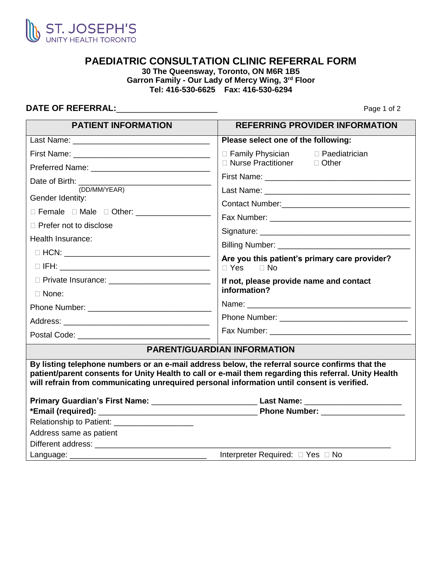

## **PAEDIATRIC CONSULTATION CLINIC REFERRAL FORM**

**30 The Queensway, Toronto, ON M6R 1B5 Garron Family - Our Lady of Mercy Wing, 3rd Floor Tel: 416-530-6625 Fax: 416-530-6294**

## **DATE OF REFERRAL:\_\_\_\_\_\_\_\_\_\_\_\_\_\_\_\_\_\_\_\_\_\_\_\_\_\_\_** Page 1 of 2

| <b>PATIENT INFORMATION</b>                         | <b>REFERRING PROVIDER INFORMATION</b>                                                                                                                                                                                                                                                                 |
|----------------------------------------------------|-------------------------------------------------------------------------------------------------------------------------------------------------------------------------------------------------------------------------------------------------------------------------------------------------------|
|                                                    | Please select one of the following:                                                                                                                                                                                                                                                                   |
|                                                    | □ Family Physician<br>□ Paediatrician                                                                                                                                                                                                                                                                 |
|                                                    | □ Nurse Practitioner □ Other                                                                                                                                                                                                                                                                          |
|                                                    |                                                                                                                                                                                                                                                                                                       |
| (DD/MM/YEAR)                                       |                                                                                                                                                                                                                                                                                                       |
| Gender Identity:                                   | Contact Number: Contact Number:                                                                                                                                                                                                                                                                       |
| □ Female □ Male □ Other: ____________________      |                                                                                                                                                                                                                                                                                                       |
| $\Box$ Prefer not to disclose                      |                                                                                                                                                                                                                                                                                                       |
| Health Insurance:                                  |                                                                                                                                                                                                                                                                                                       |
|                                                    |                                                                                                                                                                                                                                                                                                       |
|                                                    | Are you this patient's primary care provider?<br>$\Box$ Yes<br>$\Box$ No                                                                                                                                                                                                                              |
| D Private Insurance: _____________________________ | If not, please provide name and contact                                                                                                                                                                                                                                                               |
| $\Box$ None:                                       | information?                                                                                                                                                                                                                                                                                          |
|                                                    |                                                                                                                                                                                                                                                                                                       |
|                                                    |                                                                                                                                                                                                                                                                                                       |
|                                                    |                                                                                                                                                                                                                                                                                                       |
|                                                    | <b>PARENT/GUARDIAN INFORMATION</b>                                                                                                                                                                                                                                                                    |
|                                                    | By listing telephone numbers or an e-mail address below, the referral source confirms that the<br>patient/parent consents for Unity Health to call or e-mail them regarding this referral. Unity Health<br>will refrain from communicating unrequired personal information until consent is verified. |
|                                                    | Primary Guardian's First Name: __________________________________Last Name: ________________________                                                                                                                                                                                                  |
|                                                    |                                                                                                                                                                                                                                                                                                       |
| Relationship to Patient: ____________________      |                                                                                                                                                                                                                                                                                                       |
| Address same as patient                            |                                                                                                                                                                                                                                                                                                       |
|                                                    |                                                                                                                                                                                                                                                                                                       |
| Language:                                          | Interpreter Required: □ Yes □ No                                                                                                                                                                                                                                                                      |